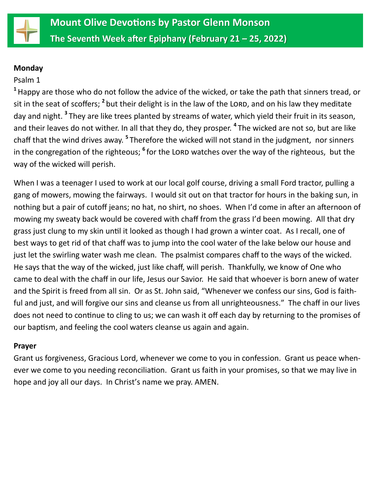

### **Monday**

### Psalm 1

**1** Happy are those who do not follow the advice of the wicked, or take the path that sinners tread, or sit in the seat of scoffers; <sup>2</sup> but their delight is in the law of the Lorn, and on his law they meditate day and night. **<sup>3</sup>** They are like trees planted by streams of water, which yield their fruit in its season, and their leaves do not wither. In all that they do, they prosper. **<sup>4</sup>** The wicked are not so, but are like chaff that the wind drives away. **<sup>5</sup>** Therefore the wicked will not stand in the judgment, nor sinners in the congregation of the righteous; <sup>6</sup> for the LORD watches over the way of the righteous, but the way of the wicked will perish.

When I was a teenager I used to work at our local golf course, driving a small Ford tractor, pulling a gang of mowers, mowing the fairways. I would sit out on that tractor for hours in the baking sun, in nothing but a pair of cutoff jeans; no hat, no shirt, no shoes. When I'd come in after an afternoon of mowing my sweaty back would be covered with chaff from the grass I'd been mowing. All that dry grass just clung to my skin until it looked as though I had grown a winter coat. As I recall, one of best ways to get rid of that chaff was to jump into the cool water of the lake below our house and just let the swirling water wash me clean. The psalmist compares chaff to the ways of the wicked. He says that the way of the wicked, just like chaff, will perish. Thankfully, we know of One who came to deal with the chaff in our life, Jesus our Savior. He said that whoever is born anew of water and the Spirit is freed from all sin. Or as St. John said, "Whenever we confess our sins, God is faithful and just, and will forgive our sins and cleanse us from all unrighteousness." The chaff in our lives does not need to continue to cling to us; we can wash it off each day by returning to the promises of our baptism, and feeling the cool waters cleanse us again and again.

### **Prayer**

Grant us forgiveness, Gracious Lord, whenever we come to you in confession. Grant us peace whenever we come to you needing reconciliation. Grant us faith in your promises, so that we may live in hope and joy all our days. In Christ's name we pray. AMEN.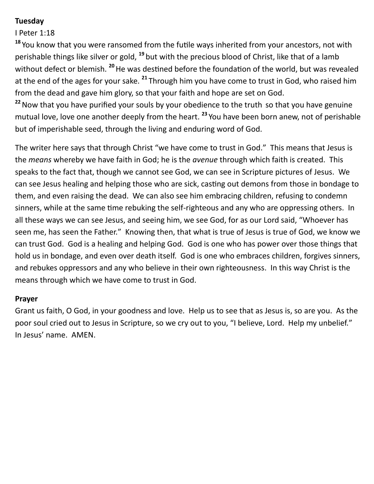## **Tuesday**

I Peter 1:18

**<sup>18</sup>** You know that you were ransomed from the futile ways inherited from your ancestors, not with perishable things like silver or gold, **<sup>19</sup>** but with the precious blood of Christ, like that of a lamb without defect or blemish. **<sup>20</sup>**He was destined before the foundation of the world, but was revealed at the end of the ages for your sake. **<sup>21</sup>** Through him you have come to trust in God, who raised him from the dead and gave him glory, so that your faith and hope are set on God.

<sup>22</sup> Now that you have purified your souls by your obedience to the truth so that you have genuine mutual love, love one another deeply from the heart. **<sup>23</sup>** You have been born anew, not of perishable but of imperishable seed, through the living and enduring word of God.

The writer here says that through Christ "we have come to trust in God." This means that Jesus is the *means* whereby we have faith in God; he is the *avenue* through which faith is created. This speaks to the fact that, though we cannot see God, we can see in Scripture pictures of Jesus. We can see Jesus healing and helping those who are sick, casting out demons from those in bondage to them, and even raising the dead. We can also see him embracing children, refusing to condemn sinners, while at the same time rebuking the self-righteous and any who are oppressing others. In all these ways we can see Jesus, and seeing him, we see God, for as our Lord said, "Whoever has seen me, has seen the Father." Knowing then, that what is true of Jesus is true of God, we know we can trust God. God is a healing and helping God. God is one who has power over those things that hold us in bondage, and even over death itself. God is one who embraces children, forgives sinners, and rebukes oppressors and any who believe in their own righteousness. In this way Christ is the means through which we have come to trust in God.

### **Prayer**

Grant us faith, O God, in your goodness and love. Help us to see that as Jesus is, so are you. As the poor soul cried out to Jesus in Scripture, so we cry out to you, "I believe, Lord. Help my unbelief." In Jesus' name. AMEN.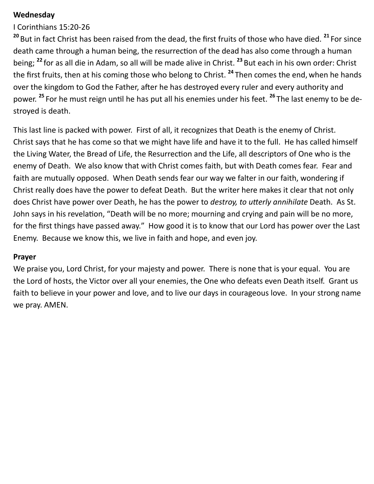### **Wednesday**

I Corinthians 15:20-26

**<sup>20</sup>** But in fact Christ has been raised from the dead, the first fruits of those who have died. **<sup>21</sup>** For since death came through a human being, the resurrection of the dead has also come through a human being; **<sup>22</sup>** for as all die in Adam, so all will be made alive in Christ. **<sup>23</sup>** But each in his own order: Christ the first fruits, then at his coming those who belong to Christ. **<sup>24</sup>** Then comes the end, when he hands over the kingdom to God the Father, after he has destroyed every ruler and every authority and power. **<sup>25</sup>** For he must reign until he has put all his enemies under his feet. **<sup>26</sup>** The last enemy to be destroyed is death.

This last line is packed with power. First of all, it recognizes that Death is the enemy of Christ. Christ says that he has come so that we might have life and have it to the full. He has called himself the Living Water, the Bread of Life, the Resurrection and the Life, all descriptors of One who is the enemy of Death. We also know that with Christ comes faith, but with Death comes fear. Fear and faith are mutually opposed. When Death sends fear our way we falter in our faith, wondering if Christ really does have the power to defeat Death. But the writer here makes it clear that not only does Christ have power over Death, he has the power to *destroy, to utterly annihilate* Death. As St. John says in his revelation, "Death will be no more; mourning and crying and pain will be no more, for the first things have passed away." How good it is to know that our Lord has power over the Last Enemy. Because we know this, we live in faith and hope, and even joy.

### **Prayer**

We praise you, Lord Christ, for your majesty and power. There is none that is your equal. You are the Lord of hosts, the Victor over all your enemies, the One who defeats even Death itself. Grant us faith to believe in your power and love, and to live our days in courageous love. In your strong name we pray. AMEN.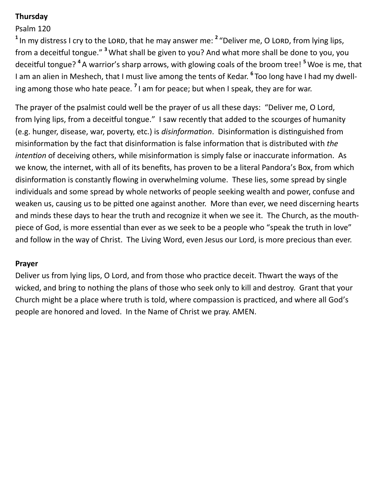## **Thursday**

# Psalm 120

<sup>1</sup> In my distress I cry to the LORD, that he may answer me: <sup>2</sup> "Deliver me, O LORD, from lying lips, from a deceitful tongue." **<sup>3</sup>** What shall be given to you? And what more shall be done to you, you deceitful tongue? **<sup>4</sup>** A warrior's sharp arrows, with glowing coals of the broom tree! **<sup>5</sup>** Woe is me, that I am an alien in Meshech, that I must live among the tents of Kedar. **<sup>6</sup>** Too long have I had my dwelling among those who hate peace. **<sup>7</sup>** I am for peace; but when I speak, they are for war.

The prayer of the psalmist could well be the prayer of us all these days: "Deliver me, O Lord, from lying lips, from a deceitful tongue." I saw recently that added to the scourges of humanity (e.g. hunger, disease, war, poverty, etc.) is *disinformation*. Disinformation is distinguished from misinformation by the fact that disinformation is false information that is distributed with *the intention* of deceiving others, while misinformation is simply false or inaccurate information. As we know, the internet, with all of its benefits, has proven to be a literal Pandora's Box, from which disinformation is constantly flowing in overwhelming volume. These lies, some spread by single individuals and some spread by whole networks of people seeking wealth and power, confuse and weaken us, causing us to be pitted one against another. More than ever, we need discerning hearts and minds these days to hear the truth and recognize it when we see it. The Church, as the mouthpiece of God, is more essential than ever as we seek to be a people who "speak the truth in love" and follow in the way of Christ. The Living Word, even Jesus our Lord, is more precious than ever.

### **Prayer**

Deliver us from lying lips, O Lord, and from those who practice deceit. Thwart the ways of the wicked, and bring to nothing the plans of those who seek only to kill and destroy. Grant that your Church might be a place where truth is told, where compassion is practiced, and where all God's people are honored and loved. In the Name of Christ we pray. AMEN.